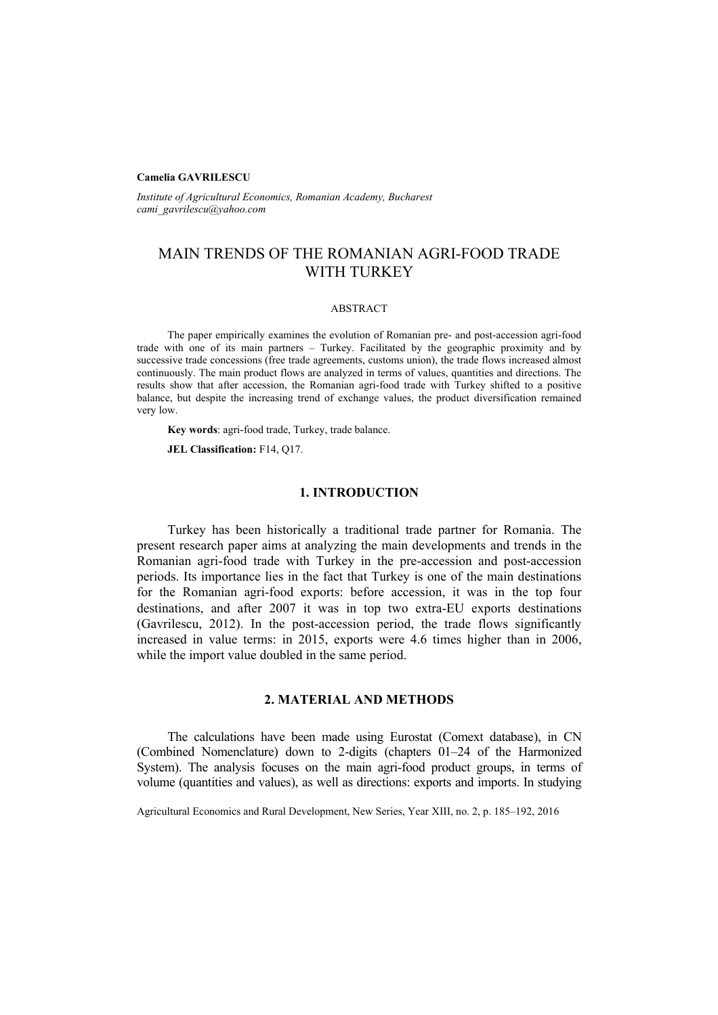### **Camelia GAVRILESCU**

*Institute of Agricultural Economics, Romanian Academy, Bucharest cami\_gavrilescu@yahoo.com*

# MAIN TRENDS OF THE ROMANIAN AGRI-FOOD TRADE WITH TURKEY

#### ABSTRACT

The paper empirically examines the evolution of Romanian pre- and post-accession agri-food trade with one of its main partners – Turkey. Facilitated by the geographic proximity and by successive trade concessions (free trade agreements, customs union), the trade flows increased almost continuously. The main product flows are analyzed in terms of values, quantities and directions. The results show that after accession, the Romanian agri-food trade with Turkey shifted to a positive balance, but despite the increasing trend of exchange values, the product diversification remained very low.

**Key words**: agri-food trade, Turkey, trade balance.

**JEL Classification:** F14, Q17.

## **1. INTRODUCTION**

Turkey has been historically a traditional trade partner for Romania. The present research paper aims at analyzing the main developments and trends in the Romanian agri-food trade with Turkey in the pre-accession and post-accession periods. Its importance lies in the fact that Turkey is one of the main destinations for the Romanian agri-food exports: before accession, it was in the top four destinations, and after 2007 it was in top two extra-EU exports destinations (Gavrilescu, 2012). In the post-accession period, the trade flows significantly increased in value terms: in 2015, exports were 4.6 times higher than in 2006, while the import value doubled in the same period.

# **2. MATERIAL AND METHODS**

The calculations have been made using Eurostat (Comext database), in CN (Combined Nomenclature) down to 2-digits (chapters 01–24 of the Harmonized System). The analysis focuses on the main agri-food product groups, in terms of volume (quantities and values), as well as directions: exports and imports. In studying

Agricultural Economics and Rural Development, New Series, Year XIII, no. 2, p. 185–192, 2016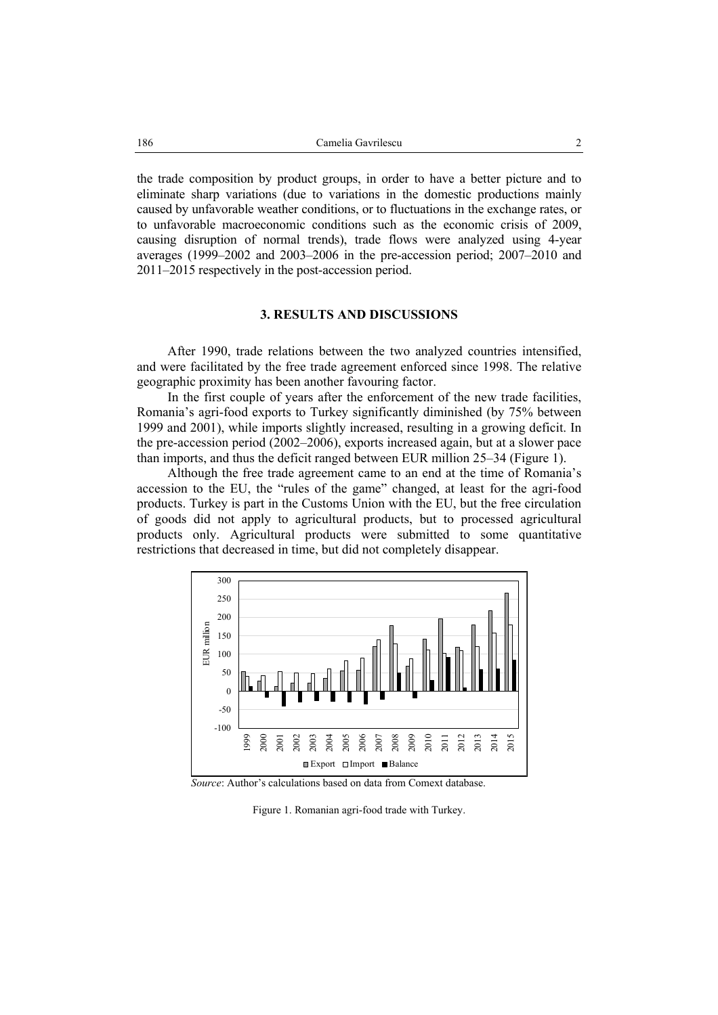the trade composition by product groups, in order to have a better picture and to eliminate sharp variations (due to variations in the domestic productions mainly caused by unfavorable weather conditions, or to fluctuations in the exchange rates, or to unfavorable macroeconomic conditions such as the economic crisis of 2009, causing disruption of normal trends), trade flows were analyzed using 4-year averages (1999–2002 and 2003–2006 in the pre-accession period; 2007–2010 and 2011–2015 respectively in the post-accession period.

### **3. RESULTS AND DISCUSSIONS**

After 1990, trade relations between the two analyzed countries intensified, and were facilitated by the free trade agreement enforced since 1998. The relative geographic proximity has been another favouring factor.

In the first couple of years after the enforcement of the new trade facilities, Romania's agri-food exports to Turkey significantly diminished (by 75% between 1999 and 2001), while imports slightly increased, resulting in a growing deficit. In the pre-accession period (2002–2006), exports increased again, but at a slower pace than imports, and thus the deficit ranged between EUR million 25–34 (Figure 1).

Although the free trade agreement came to an end at the time of Romania's accession to the EU, the "rules of the game" changed, at least for the agri-food products. Turkey is part in the Customs Union with the EU, but the free circulation of goods did not apply to agricultural products, but to processed agricultural products only. Agricultural products were submitted to some quantitative restrictions that decreased in time, but did not completely disappear.



 *Source*: Author's calculations based on data from Comext database.

Figure 1. Romanian agri-food trade with Turkey.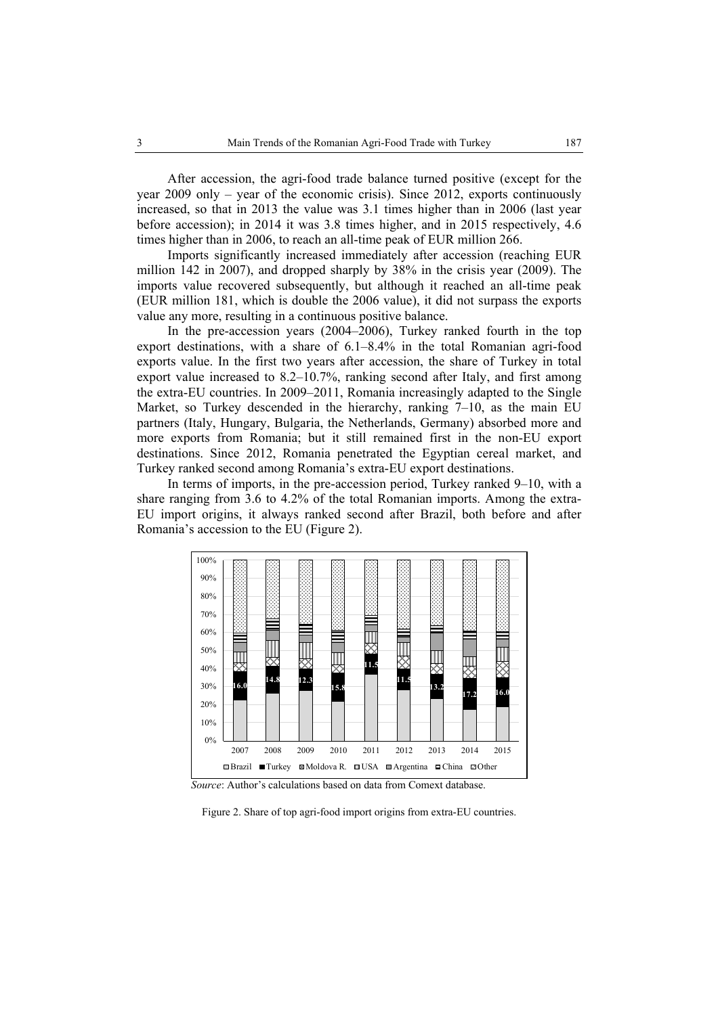After accession, the agri-food trade balance turned positive (except for the year 2009 only – year of the economic crisis). Since 2012, exports continuously increased, so that in 2013 the value was 3.1 times higher than in 2006 (last year before accession); in 2014 it was 3.8 times higher, and in 2015 respectively, 4.6 times higher than in 2006, to reach an all-time peak of EUR million 266.

Imports significantly increased immediately after accession (reaching EUR million 142 in 2007), and dropped sharply by 38% in the crisis year (2009). The imports value recovered subsequently, but although it reached an all-time peak (EUR million 181, which is double the 2006 value), it did not surpass the exports value any more, resulting in a continuous positive balance.

In the pre-accession years (2004–2006), Turkey ranked fourth in the top export destinations, with a share of 6.1–8.4% in the total Romanian agri-food exports value. In the first two years after accession, the share of Turkey in total export value increased to 8.2–10.7%, ranking second after Italy, and first among the extra-EU countries. In 2009–2011, Romania increasingly adapted to the Single Market, so Turkey descended in the hierarchy, ranking 7–10, as the main EU partners (Italy, Hungary, Bulgaria, the Netherlands, Germany) absorbed more and more exports from Romania; but it still remained first in the non-EU export destinations. Since 2012, Romania penetrated the Egyptian cereal market, and Turkey ranked second among Romania's extra-EU export destinations.

In terms of imports, in the pre-accession period, Turkey ranked 9–10, with a share ranging from 3.6 to 4.2% of the total Romanian imports. Among the extra-EU import origins, it always ranked second after Brazil, both before and after Romania's accession to the EU (Figure 2).



 *Source*: Author's calculations based on data from Comext database.

Figure 2. Share of top agri-food import origins from extra-EU countries.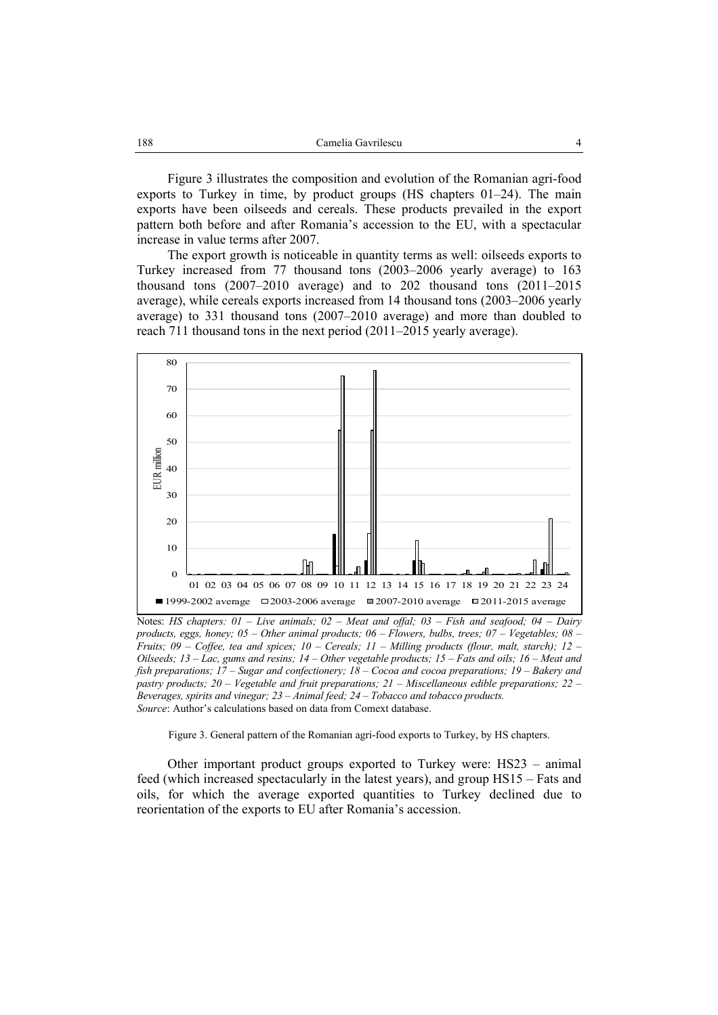Figure 3 illustrates the composition and evolution of the Romanian agri-food exports to Turkey in time, by product groups (HS chapters 01–24). The main exports have been oilseeds and cereals. These products prevailed in the export pattern both before and after Romania's accession to the EU, with a spectacular increase in value terms after 2007.

The export growth is noticeable in quantity terms as well: oilseeds exports to Turkey increased from 77 thousand tons (2003–2006 yearly average) to 163 thousand tons (2007–2010 average) and to 202 thousand tons (2011–2015 average), while cereals exports increased from 14 thousand tons (2003–2006 yearly average) to 331 thousand tons (2007–2010 average) and more than doubled to reach 711 thousand tons in the next period (2011–2015 yearly average).



Notes: *HS chapters: 01 – Live animals; 02 – Meat and offal; 03 – Fish and seafood; 04 – Dairy products, eggs, honey; 05 – Other animal products; 06 – Flowers, bulbs, trees; 07 – Vegetables; 08 – Fruits; 09 – Coffee, tea and spices; 10 – Cereals; 11 – Milling products (flour, malt, starch); 12 – Oilseeds; 13 – Lac, gums and resins; 14 – Other vegetable products; 15 – Fats and oils; 16 – Meat and fish preparations; 17 – Sugar and confectionery; 18 – Cocoa and cocoa preparations; 19 – Bakery and pastry products; 20 – Vegetable and fruit preparations; 21 – Miscellaneous edible preparations; 22 – Beverages, spirits and vinegar; 23 – Animal feed; 24 – Tobacco and tobacco products. Source*: Author's calculations based on data from Comext database.

Figure 3. General pattern of the Romanian agri-food exports to Turkey, by HS chapters.

Other important product groups exported to Turkey were: HS23 – animal feed (which increased spectacularly in the latest years), and group HS15 – Fats and oils, for which the average exported quantities to Turkey declined due to reorientation of the exports to EU after Romania's accession.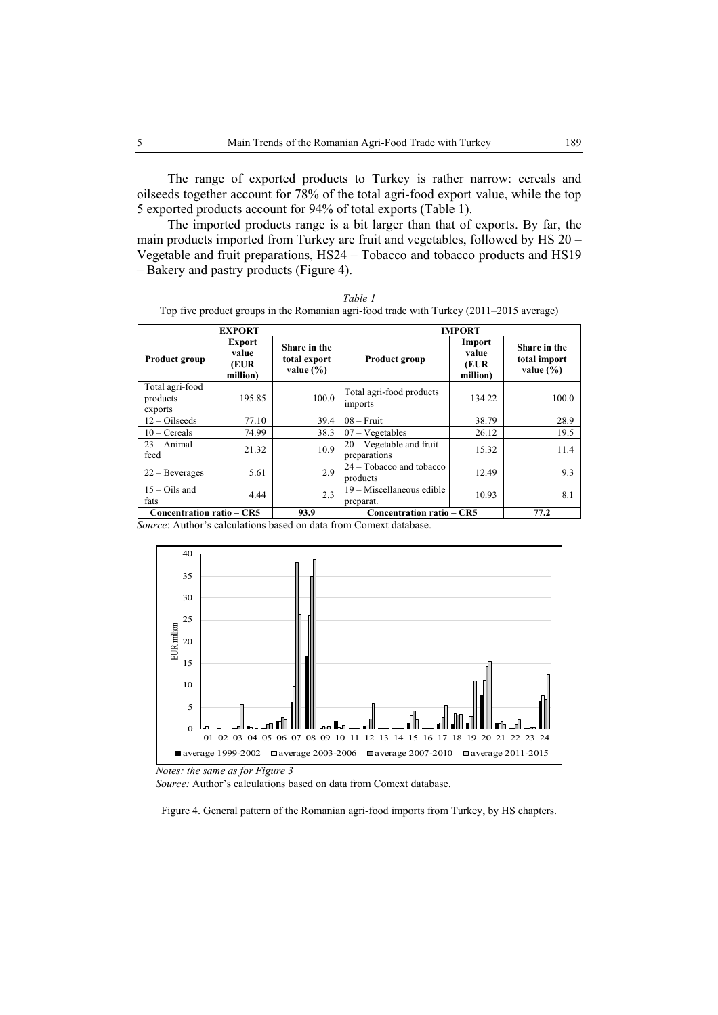The range of exported products to Turkey is rather narrow: cereals and oilseeds together account for 78% of the total agri-food export value, while the top 5 exported products account for 94% of total exports (Table 1).

The imported products range is a bit larger than that of exports. By far, the main products imported from Turkey are fruit and vegetables, followed by HS 20 – Vegetable and fruit preparations, HS24 – Tobacco and tobacco products and HS19 – Bakery and pastry products (Figure 4).

| Table 1                                                                                 |
|-----------------------------------------------------------------------------------------|
| Top five product groups in the Romanian agri-food trade with Turkey (2011–2015 average) |

| <b>EXPORT</b>                          |                                            | <b>IMPORT</b>                                 |                                             |                                     |                                               |
|----------------------------------------|--------------------------------------------|-----------------------------------------------|---------------------------------------------|-------------------------------------|-----------------------------------------------|
| <b>Product group</b>                   | <b>Export</b><br>value<br>(EUR<br>million) | Share in the<br>total export<br>value $(\% )$ | <b>Product group</b>                        | Import<br>value<br>(EUR<br>million) | Share in the<br>total import<br>value $(\% )$ |
| Total agri-food<br>products<br>exports | 195.85                                     | 100.0                                         | Total agri-food products<br>imports         | 134.22                              | 100.0                                         |
| $12 - Oils$ eeds                       | 77.10                                      | 39.4                                          | $08 -$ Fruit                                | 38.79                               | 28.9                                          |
| $10 - C$ ereals                        | 74.99                                      | 38.3                                          | $07 - V$ egetables                          | 26.12                               | 19.5                                          |
| $23 - Animal$<br>feed                  | 21.32                                      | 10.9                                          | $20 - V$ egetable and fruit<br>preparations | 15.32                               | 11.4                                          |
| $22 - Beverages$                       | 5.61                                       | 2.9                                           | 24 – Tobacco and tobacco<br>products        | 12.49                               | 9.3                                           |
| $15 - Oils$ and<br>fats                | 4.44                                       | 2.3                                           | 19 – Miscellaneous edible<br>preparat.      | 10.93                               | 8.1                                           |
| Concentration ratio – CR5<br>93.9      |                                            |                                               | Concentration ratio – CR5                   |                                     | 77.2                                          |

*Source*: Author's calculations based on data from Comext database.



 *Notes: the same as for Figure 3* 

 *Source:* Author's calculations based on data from Comext database.

Figure 4. General pattern of the Romanian agri-food imports from Turkey, by HS chapters.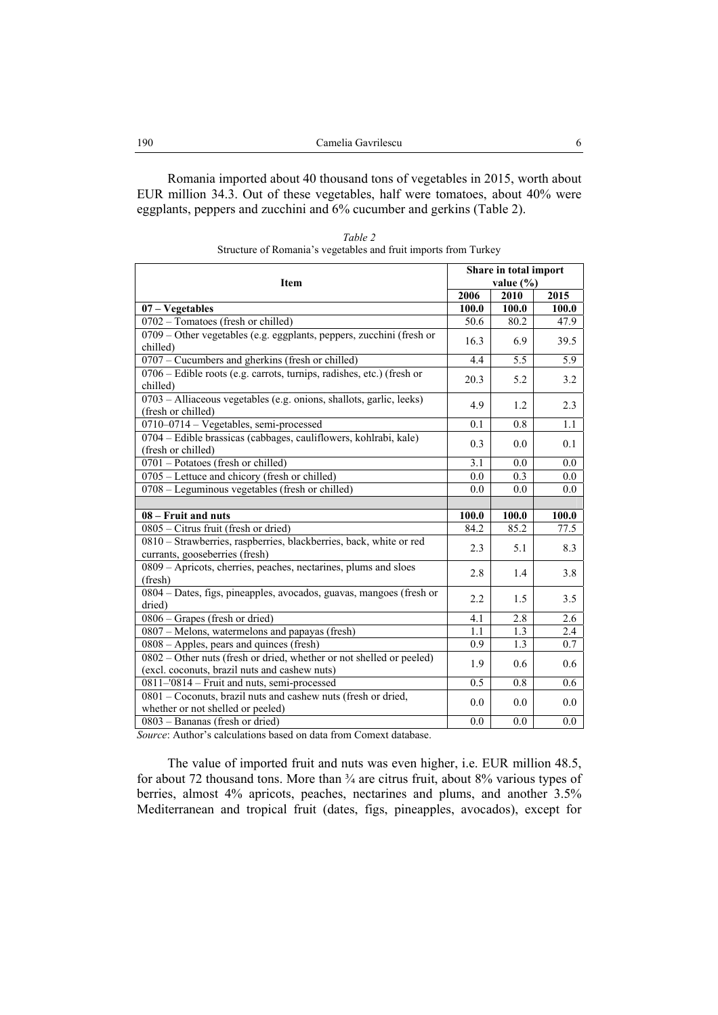Romania imported about 40 thousand tons of vegetables in 2015, worth about EUR million 34.3. Out of these vegetables, half were tomatoes, about 40% were eggplants, peppers and zucchini and 6% cucumber and gerkins (Table 2).

| Table 2                                                         |  |
|-----------------------------------------------------------------|--|
| Structure of Romania's vegetables and fruit imports from Turkey |  |

| Item                                                                                                                  |       | Share in total import<br>value $(\% )$ |       |  |
|-----------------------------------------------------------------------------------------------------------------------|-------|----------------------------------------|-------|--|
|                                                                                                                       | 2006  | 2010                                   | 2015  |  |
| $07 - Vegetables$                                                                                                     | 100.0 | 100.0                                  | 100.0 |  |
| 0702 - Tomatoes (fresh or chilled)                                                                                    | 50.6  | 80.2                                   | 47.9  |  |
| 0709 - Other vegetables (e.g. eggplants, peppers, zucchini (fresh or<br>chilled)                                      | 16.3  | 6.9                                    | 39.5  |  |
| 0707 – Cucumbers and gherkins (fresh or chilled)                                                                      | 4.4   | 5.5                                    | 5.9   |  |
| 0706 – Edible roots (e.g. carrots, turnips, radishes, etc.) (fresh or<br>chilled)                                     | 20.3  | 5.2                                    | 3.2   |  |
| 0703 – Alliaceous vegetables (e.g. onions, shallots, garlic, leeks)<br>(fresh or chilled)                             | 4.9   | 1.2                                    | 2.3   |  |
| 0710-0714 - Vegetables, semi-processed                                                                                | 0.1   | 0.8                                    | 1.1   |  |
| 0704 – Edible brassicas (cabbages, cauliflowers, kohlrabi, kale)<br>(fresh or chilled)                                | 0.3   | 0.0                                    | 0.1   |  |
| 0701 - Potatoes (fresh or chilled)                                                                                    | 3.1   | 0.0                                    | 0.0   |  |
| 0705 - Lettuce and chicory (fresh or chilled)                                                                         | 0.0   | 0.3                                    | 0.0   |  |
| 0708 – Leguminous vegetables (fresh or chilled)                                                                       | 0.0   | 0.0                                    | 0.0   |  |
|                                                                                                                       |       |                                        |       |  |
| 08 – Fruit and nuts                                                                                                   | 100.0 | 100.0                                  | 100.0 |  |
| 0805 - Citrus fruit (fresh or dried)                                                                                  | 84.2  | 85.2                                   | 77.5  |  |
| 0810 - Strawberries, raspberries, blackberries, back, white or red<br>currants, gooseberries (fresh)                  | 2.3   | 5.1                                    | 8.3   |  |
| 0809 - Apricots, cherries, peaches, nectarines, plums and sloes<br>(fresh)                                            | 2.8   | 1.4                                    | 3.8   |  |
| 0804 – Dates, figs, pineapples, avocados, guavas, mangoes (fresh or<br>dried)                                         | 2.2   | 1.5                                    | 3.5   |  |
| $0806 -$ Grapes (fresh or dried)                                                                                      | 4.1   | 2.8                                    | 2.6   |  |
| 0807 – Melons, watermelons and papayas (fresh)                                                                        | 1.1   | 1.3                                    | 2.4   |  |
| 0808 – Apples, pears and quinces (fresh)                                                                              | 0.9   | 1.3                                    | 0.7   |  |
| 0802 - Other nuts (fresh or dried, whether or not shelled or peeled)<br>(excl. coconuts, brazil nuts and cashew nuts) | 1.9   | 0.6                                    | 0.6   |  |
| 0811-'0814 - Fruit and nuts, semi-processed                                                                           | 0.5   | 0.8                                    | 0.6   |  |
| 0801 - Coconuts, brazil nuts and cashew nuts (fresh or dried,<br>whether or not shelled or peeled)                    | 0.0   | 0.0                                    | 0.0   |  |
| 0803 - Bananas (fresh or dried)                                                                                       | 0.0   | 0.0                                    | 0.0   |  |

*Source*: Author's calculations based on data from Comext database.

The value of imported fruit and nuts was even higher, i.e. EUR million 48.5, for about 72 thousand tons. More than  $\frac{3}{4}$  are citrus fruit, about 8% various types of berries, almost 4% apricots, peaches, nectarines and plums, and another 3.5% Mediterranean and tropical fruit (dates, figs, pineapples, avocados), except for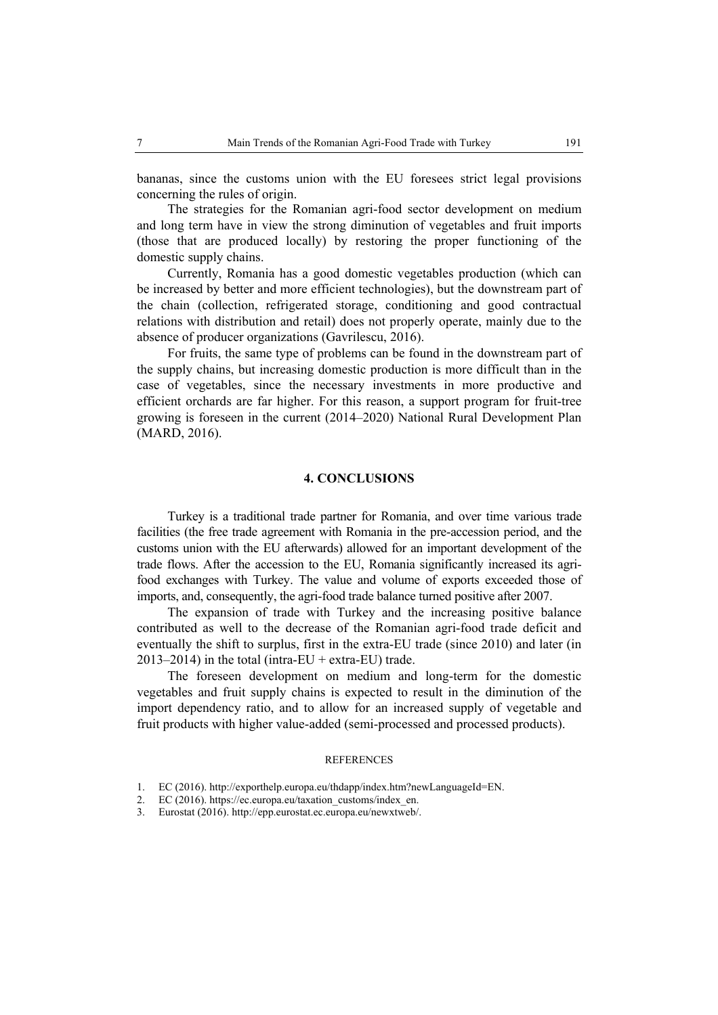bananas, since the customs union with the EU foresees strict legal provisions concerning the rules of origin.

The strategies for the Romanian agri-food sector development on medium and long term have in view the strong diminution of vegetables and fruit imports (those that are produced locally) by restoring the proper functioning of the domestic supply chains.

Currently, Romania has a good domestic vegetables production (which can be increased by better and more efficient technologies), but the downstream part of the chain (collection, refrigerated storage, conditioning and good contractual relations with distribution and retail) does not properly operate, mainly due to the absence of producer organizations (Gavrilescu, 2016).

For fruits, the same type of problems can be found in the downstream part of the supply chains, but increasing domestic production is more difficult than in the case of vegetables, since the necessary investments in more productive and efficient orchards are far higher. For this reason, a support program for fruit-tree growing is foreseen in the current (2014–2020) National Rural Development Plan (MARD, 2016).

### **4. CONCLUSIONS**

Turkey is a traditional trade partner for Romania, and over time various trade facilities (the free trade agreement with Romania in the pre-accession period, and the customs union with the EU afterwards) allowed for an important development of the trade flows. After the accession to the EU, Romania significantly increased its agrifood exchanges with Turkey. The value and volume of exports exceeded those of imports, and, consequently, the agri-food trade balance turned positive after 2007.

The expansion of trade with Turkey and the increasing positive balance contributed as well to the decrease of the Romanian agri-food trade deficit and eventually the shift to surplus, first in the extra-EU trade (since 2010) and later (in  $2013-2014$ ) in the total (intra-EU + extra-EU) trade.

The foreseen development on medium and long-term for the domestic vegetables and fruit supply chains is expected to result in the diminution of the import dependency ratio, and to allow for an increased supply of vegetable and fruit products with higher value-added (semi-processed and processed products).

#### **REFERENCES**

- 1. EC (2016). http://exporthelp.europa.eu/thdapp/index.htm?newLanguageId=EN.
- 2. EC (2016). https://ec.europa.eu/taxation\_customs/index\_en.
- 3. Eurostat (2016). http://epp.eurostat.ec.europa.eu/newxtweb/.